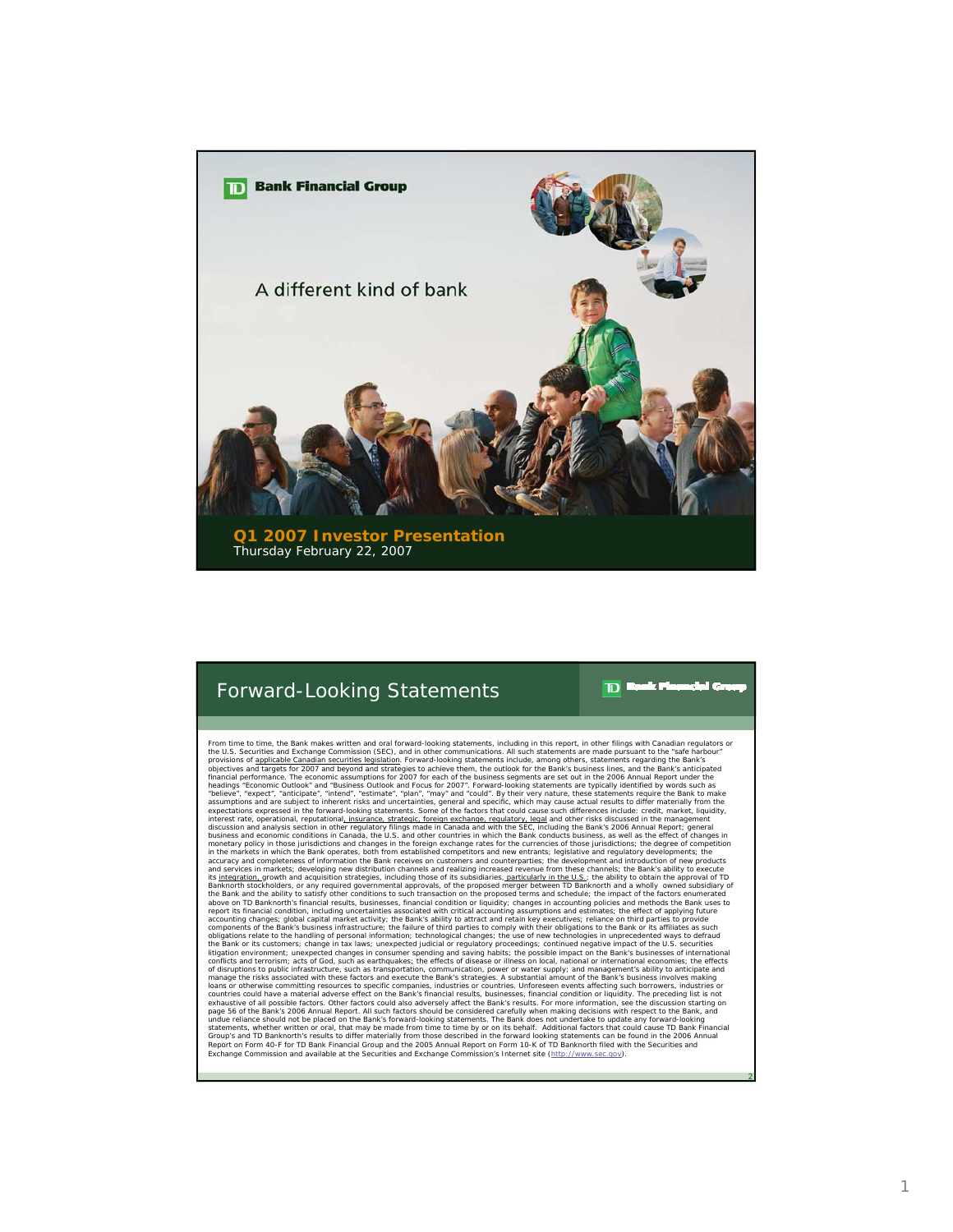

## Forward-Looking Statements

From time to time, the Bank makes written and oral forward-looking statements, including in this report, in other filings with Canadian regulators or the U.S. Securities and Exchange Commission (SEC), and in other provisio headings \*Economic Outlook\* and \*Business Outlook and Focus for 2007\*. Forward-looking statements are typically identified by words such as<br>\*believe\*, \*expect\*, \*anticipate\*, \*intend\*, \*estimate\*, \*plan\*, \*may\* and \*could\* interest rate, operational, reputational<u>, insurance, strategic, foreign exchange, regulatory, legal</u> and other risks discussed in the management<br>discussion and analysis section in other regulatory filings made in Canada a monetary policy in those jurisdictions and changes in the foreign exchange rates for the currencies of those lurisdictions; the degree of competition and conserved of the competition and conserved and conserved and conserv Exchange Commission and available at the Securities and Exchange Commission's Internet site (http://www.sec.gov).

 $\overline{D}$ 

k F

2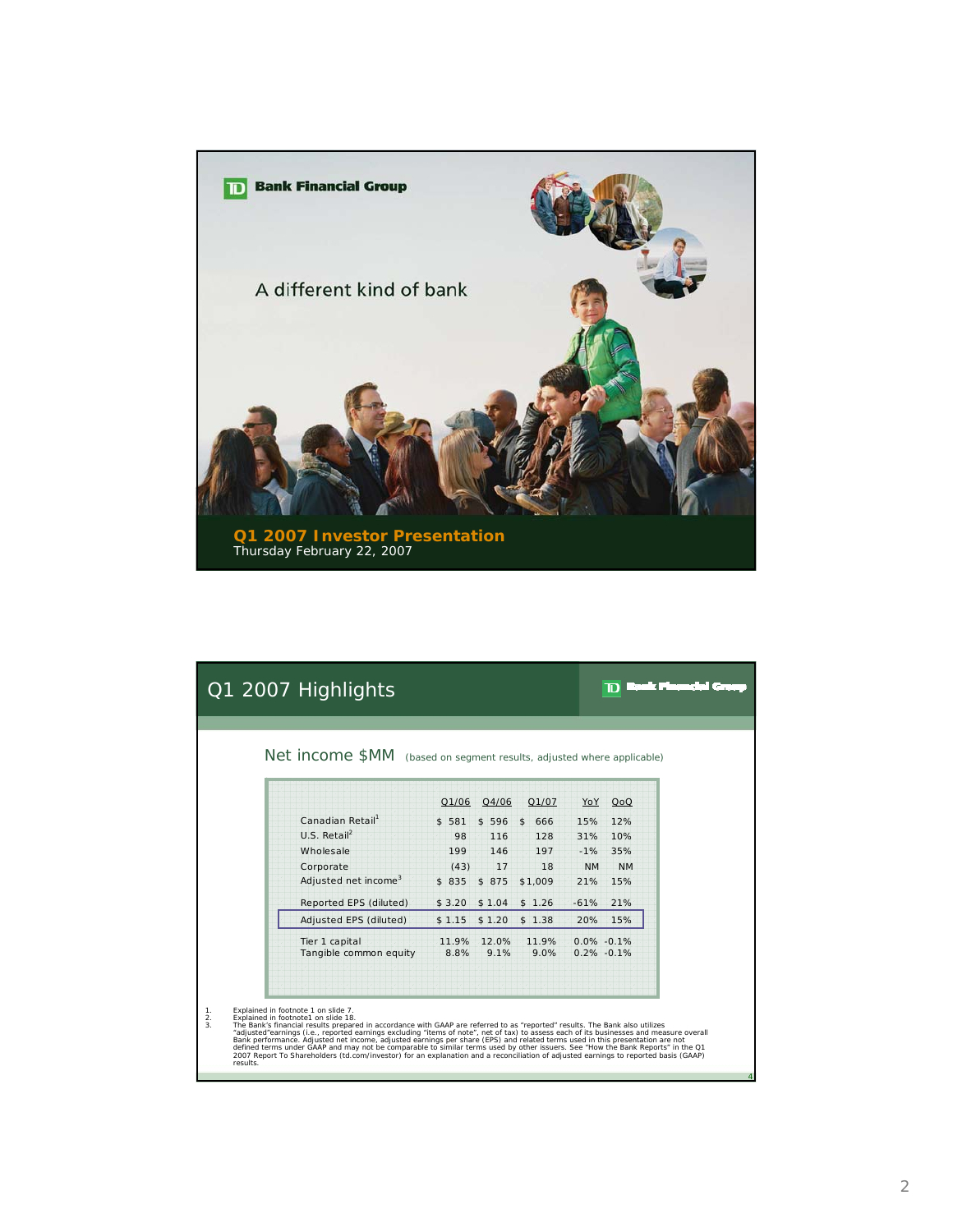

|                             | Q1 2007 Highlights                                                                                                                                                                                                                                                                                                                                                                                                                                                                                                                                                                                                                                                                                                                                             |        |           |                           |           | an a mar<br>Ю                     |  |
|-----------------------------|----------------------------------------------------------------------------------------------------------------------------------------------------------------------------------------------------------------------------------------------------------------------------------------------------------------------------------------------------------------------------------------------------------------------------------------------------------------------------------------------------------------------------------------------------------------------------------------------------------------------------------------------------------------------------------------------------------------------------------------------------------------|--------|-----------|---------------------------|-----------|-----------------------------------|--|
|                             | Net income \$MM (based on segment results, adjusted where applicable)                                                                                                                                                                                                                                                                                                                                                                                                                                                                                                                                                                                                                                                                                          |        |           |                           |           |                                   |  |
|                             |                                                                                                                                                                                                                                                                                                                                                                                                                                                                                                                                                                                                                                                                                                                                                                | Q1/06  | Q4/06     | Q1/07                     | YoY       | QoQ                               |  |
|                             | Canadian Retail <sup>1</sup>                                                                                                                                                                                                                                                                                                                                                                                                                                                                                                                                                                                                                                                                                                                                   | \$581  | $$596$ \$ | 666                       | 15%       | 12%                               |  |
|                             | U.S. Retail <sup>2</sup>                                                                                                                                                                                                                                                                                                                                                                                                                                                                                                                                                                                                                                                                                                                                       | 98     | 116       | 128                       | 31%       | 10%                               |  |
|                             | Wholesale                                                                                                                                                                                                                                                                                                                                                                                                                                                                                                                                                                                                                                                                                                                                                      | 199    | 146       | 197                       |           | $-1\% - 35\%$                     |  |
|                             | Corporate                                                                                                                                                                                                                                                                                                                                                                                                                                                                                                                                                                                                                                                                                                                                                      | (43)   | 17        | 18                        | <b>NM</b> | <b>NM</b>                         |  |
|                             | Adjusted net income <sup>3</sup>                                                                                                                                                                                                                                                                                                                                                                                                                                                                                                                                                                                                                                                                                                                               | \$835  | \$875     | \$1,009                   | 21%       | 15%                               |  |
|                             | Reported EPS (diluted)                                                                                                                                                                                                                                                                                                                                                                                                                                                                                                                                                                                                                                                                                                                                         | \$3.20 | \$1.04    | \$1.26                    | $-61%$    | 21%                               |  |
|                             | Adjusted EPS (diluted)                                                                                                                                                                                                                                                                                                                                                                                                                                                                                                                                                                                                                                                                                                                                         | \$1.15 | \$1.20    | \$1.38                    | 20%       | 15%                               |  |
|                             | Tier 1 capital<br>Tangible common equity                                                                                                                                                                                                                                                                                                                                                                                                                                                                                                                                                                                                                                                                                                                       | 8.8%   | 9.1%      | 11.9% 12.0% 11.9%<br>9.0% |           | $0.0\% -0.1\%$<br>$0.2\% - 0.1\%$ |  |
| $\frac{1}{2}$ .<br>results. | Explained in footnote 1 on slide 7.<br>Explained in footnote1 on slide 18.<br>The Bank's financial results prepared in accordance with GAAP are referred to as "reported" results. The Bank also utilizes<br>"adjusted"earnings (i.e., reported earnings excluding "items of note", net of tax) to assess each of its businesses and measure overall<br>Bank performance. Adjusted net income, adjusted earnings per share (EPS) and related terms used in this presentation are not<br>defined terms under GAAP and may not be comparable to similar terms used by other issuers. See "How the Bank Reports" in the Q1<br>2007 Report To Shareholders (td.com/investor) for an explanation and a reconciliation of adjusted earnings to reported basis (GAAP) |        |           |                           |           |                                   |  |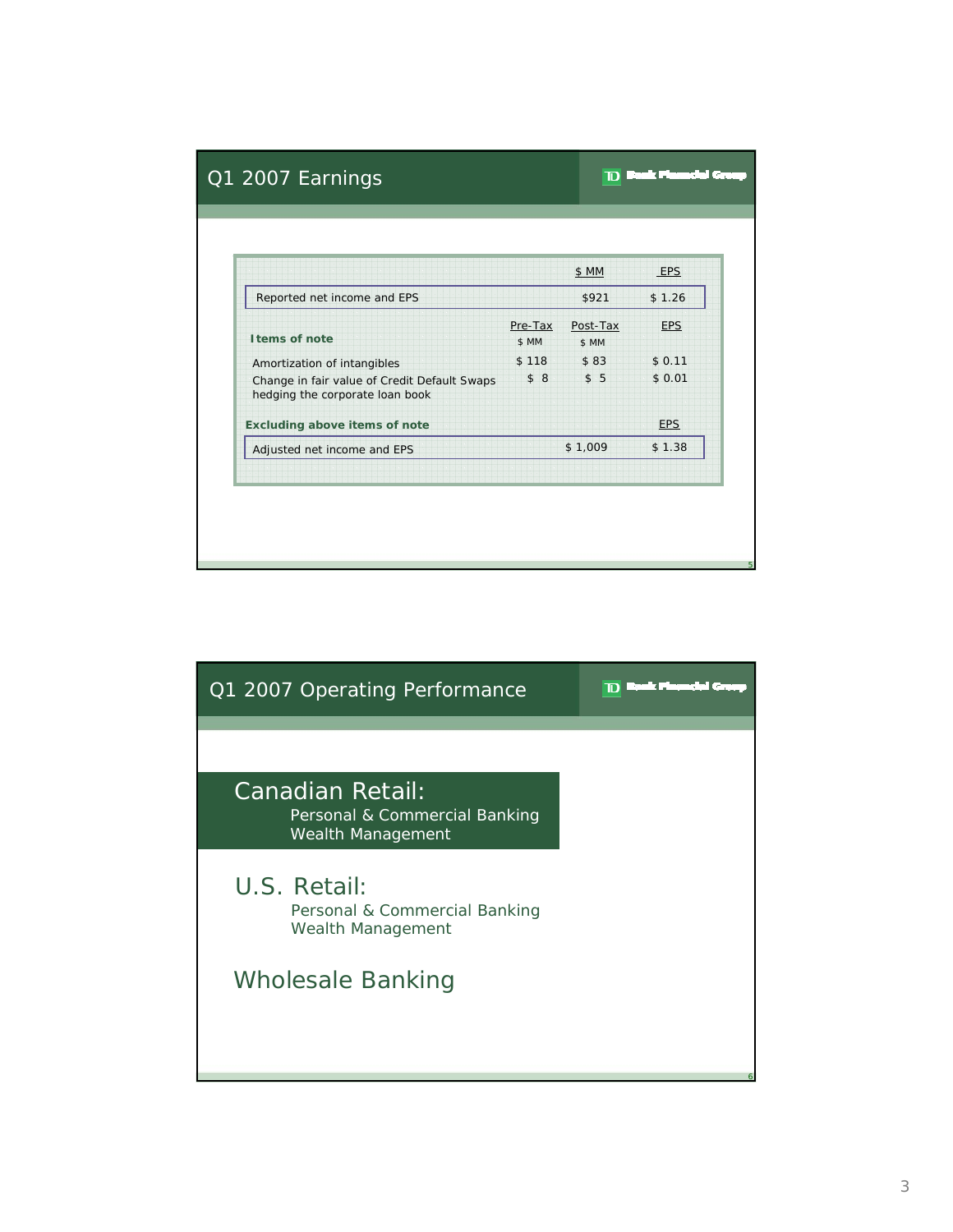|                                                                                 |                  | \$ MM             | EPS        |
|---------------------------------------------------------------------------------|------------------|-------------------|------------|
| Reported net income and EPS                                                     |                  | \$921             | \$1.26     |
| I tems of note                                                                  | Pre-Tax<br>\$ MM | Post-Tax<br>\$ MM | <b>EPS</b> |
| Amortization of intangibles                                                     | \$118            | \$83              | \$0.11     |
| Change in fair value of Credit Default Swaps<br>hedging the corporate loan book | \$8              | \$5               | \$0.01     |
| <b>Excluding above items of note</b>                                            |                  |                   | <b>EPS</b> |
| Adjusted net income and EPS                                                     |                  | \$1,009           | \$1.38     |

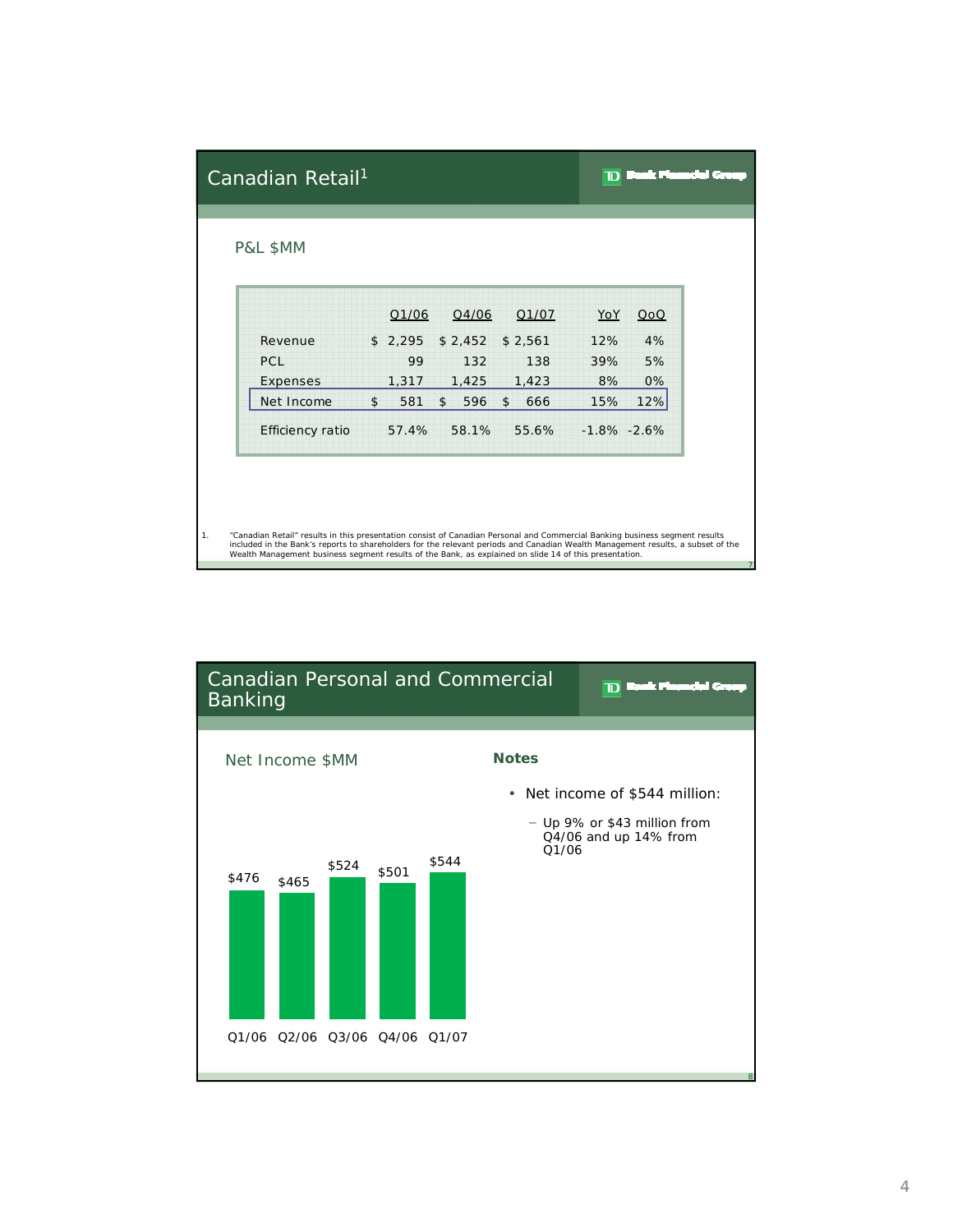| YoY             | QoQ                                                                                                                                                                                                                                                                                                                                                                      |
|-----------------|--------------------------------------------------------------------------------------------------------------------------------------------------------------------------------------------------------------------------------------------------------------------------------------------------------------------------------------------------------------------------|
| 12%             | 4%                                                                                                                                                                                                                                                                                                                                                                       |
| 39%             | 5%                                                                                                                                                                                                                                                                                                                                                                       |
| 8%              | 0%                                                                                                                                                                                                                                                                                                                                                                       |
| 15%             | 12%                                                                                                                                                                                                                                                                                                                                                                      |
| $-1.8\% -2.6\%$ |                                                                                                                                                                                                                                                                                                                                                                          |
|                 |                                                                                                                                                                                                                                                                                                                                                                          |
|                 | "Canadian Retail" results in this presentation consist of Canadian Personal and Commercial Banking business segment results<br>included in the Bank's reports to shareholders for the relevant periods and Canadian Wealth Management results, a subset of the<br>Wealth Management business segment results of the Bank, as explained on slide 14 of this presentation. |

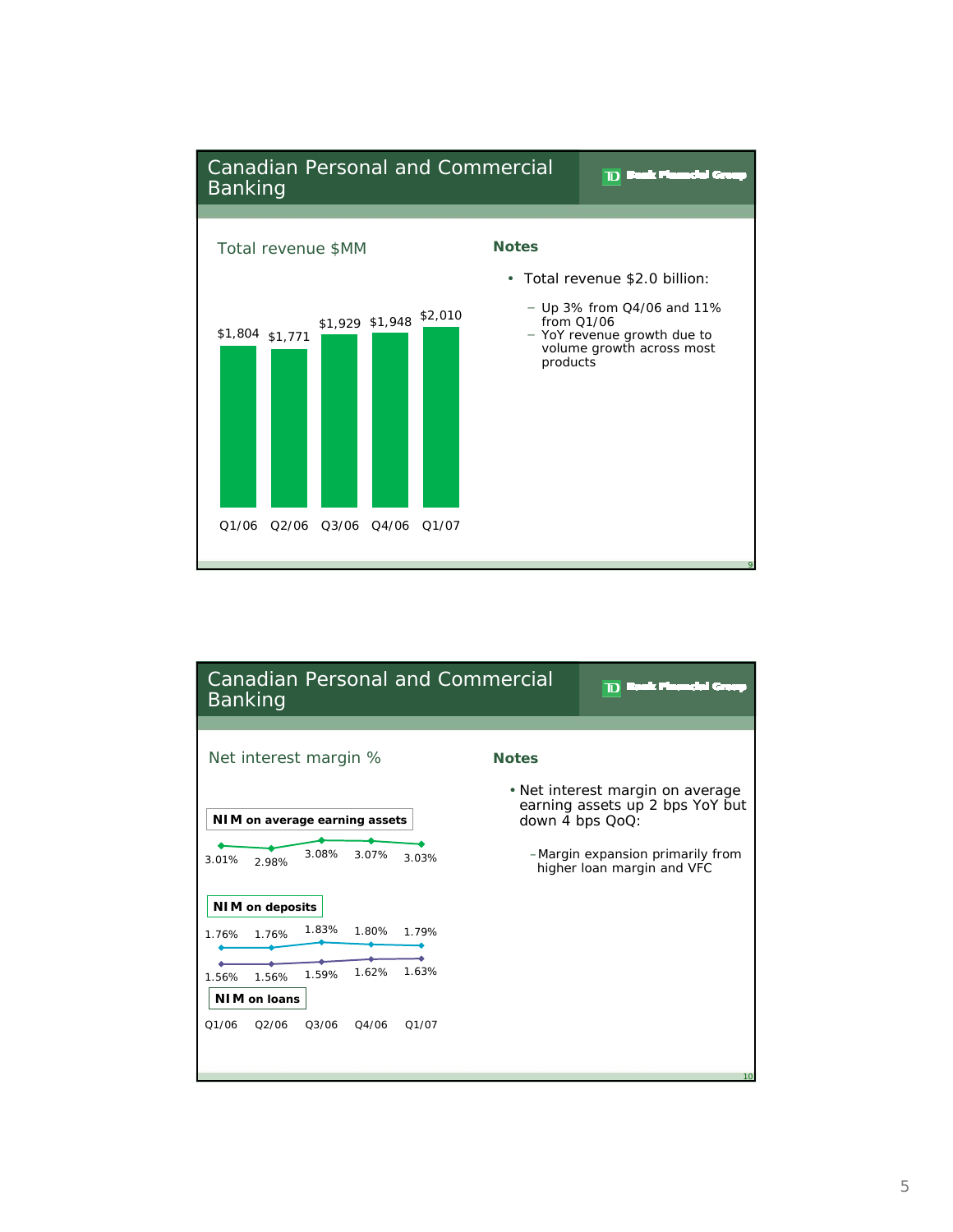

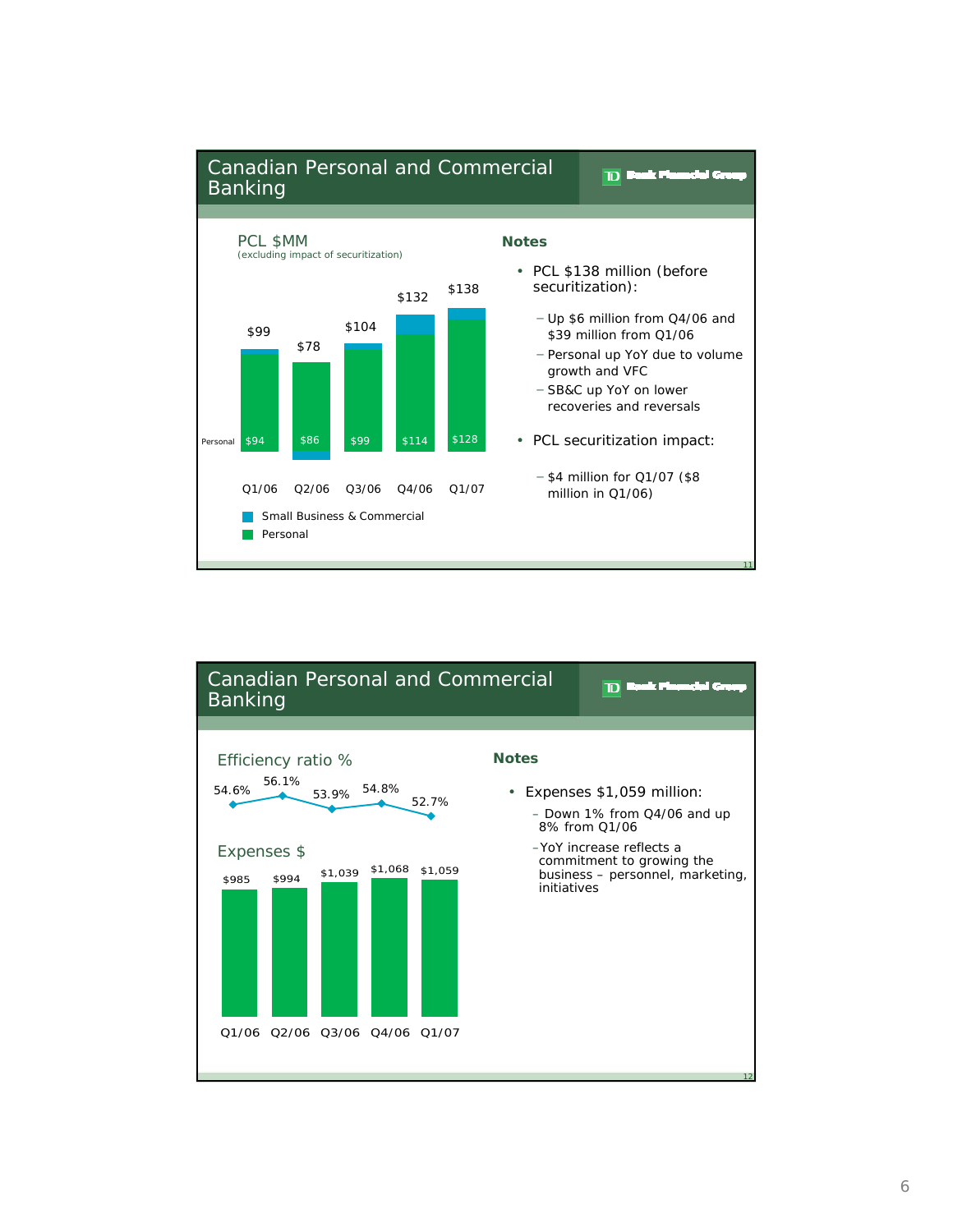

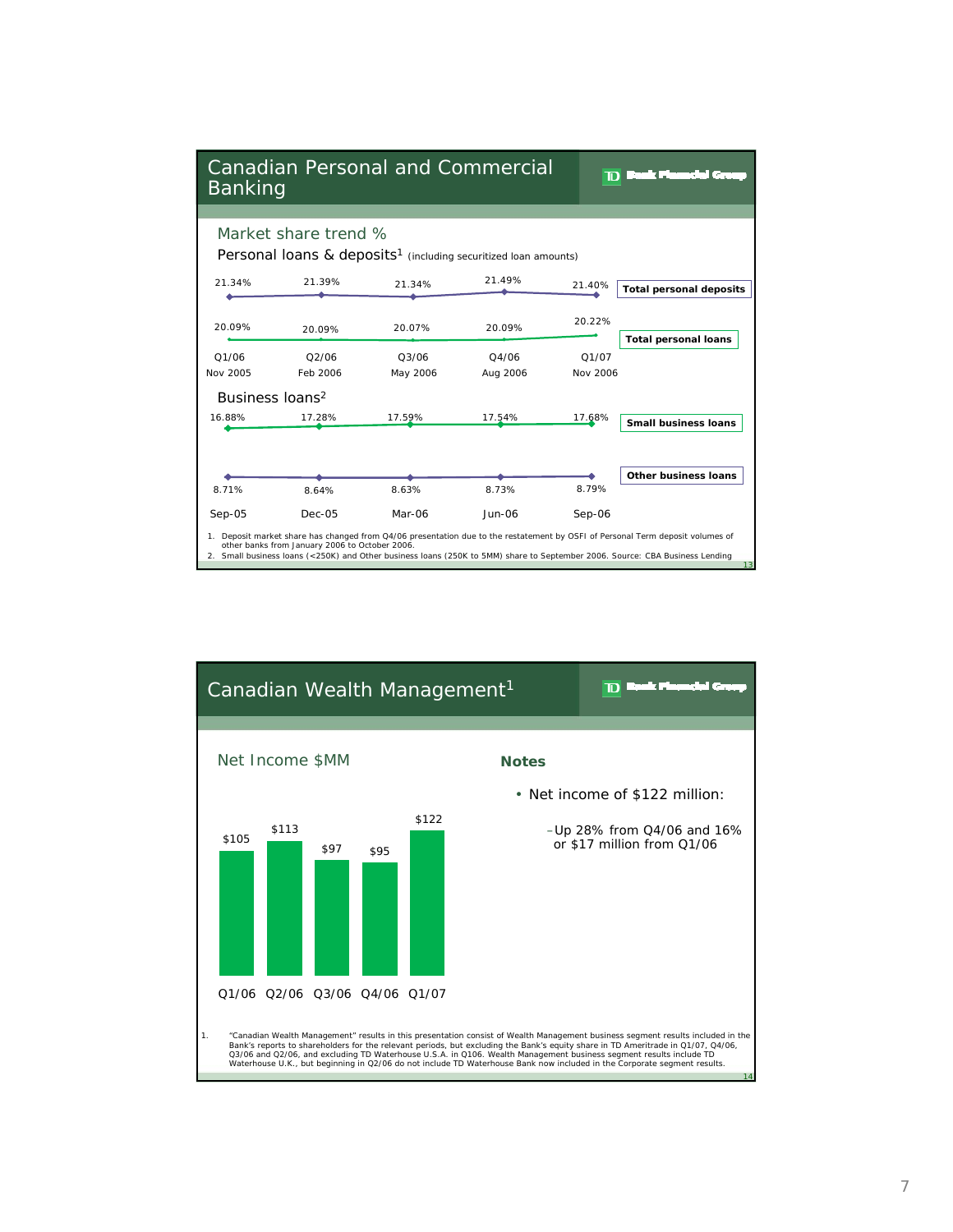| <b>Canadian Personal and Commercial</b><br>Banking |                                                |                   |                                                                                       |                   | a a secondo de<br>D                                                                                                                                                                                                                                                  |
|----------------------------------------------------|------------------------------------------------|-------------------|---------------------------------------------------------------------------------------|-------------------|----------------------------------------------------------------------------------------------------------------------------------------------------------------------------------------------------------------------------------------------------------------------|
|                                                    | Market share trend %                           |                   |                                                                                       |                   |                                                                                                                                                                                                                                                                      |
| 21.34%                                             | 21.39%                                         | 21.34%            | Personal loans & deposits <sup>1</sup> (including securitized loan amounts)<br>21.49% | 21.40%            | <b>Total personal deposits</b>                                                                                                                                                                                                                                       |
| 20.09%                                             | 20.09%                                         | 20.07%            | 20.09%                                                                                | 20.22%            | <b>Total personal loans</b>                                                                                                                                                                                                                                          |
| 01/06<br>Nov 2005                                  | 02/06<br>Feb 2006                              | 03/06<br>May 2006 | 04/06<br>Aug 2006                                                                     | O1/07<br>Nov 2006 |                                                                                                                                                                                                                                                                      |
| Business Ioans <sup>2</sup><br>16.88%              | 17.28%                                         | 17.59%            | 17.54%                                                                                | 17.68%            | <b>Small business loans</b>                                                                                                                                                                                                                                          |
|                                                    |                                                |                   |                                                                                       |                   |                                                                                                                                                                                                                                                                      |
| 8.71%                                              | 8.64%                                          | 8.63%             | 8.73%                                                                                 | 8.79%             | Other business loans                                                                                                                                                                                                                                                 |
| $Sep-05$                                           | $Dec-05$                                       | Mar-06            | $Jun-06$                                                                              | $Sep-06$          |                                                                                                                                                                                                                                                                      |
|                                                    | other banks from January 2006 to October 2006. |                   |                                                                                       |                   | 1. Deposit market share has changed from Q4/06 presentation due to the restatement by OSFI of Personal Term deposit volumes of<br>2. Small business loans (<250K) and Other business loans (250K to 5MM) share to September 2006. Source: CBA Business Lending<br>13 |

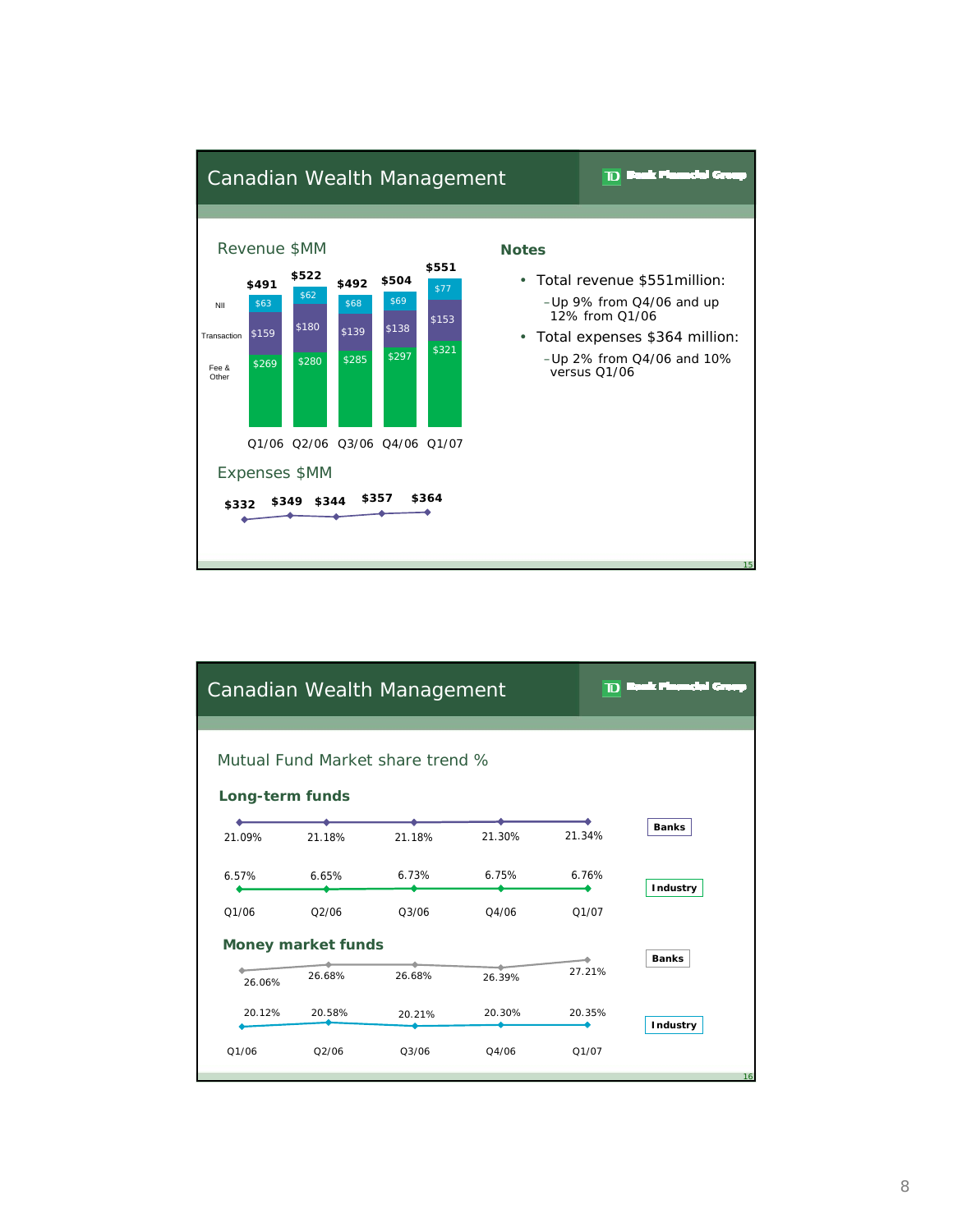

|                 |                           | Canadian Wealth Management       |                    | D      | n di secondo dell'<br>letti. |
|-----------------|---------------------------|----------------------------------|--------------------|--------|------------------------------|
| Long-term funds |                           | Mutual Fund Market share trend % |                    |        |                              |
| 21.09%          | 21.18%                    | 21.18%                           | 21.30%             | 21.34% | <b>Banks</b>                 |
| 6.57%           | 6.65%                     | 6.73%                            | 6.75%              | 6.76%  | Industry                     |
| 01/06           | O2/06                     | 03/06                            | O <sub>4</sub> /06 | 01/07  |                              |
|                 | <b>Money market funds</b> |                                  | <b>Banks</b>       |        |                              |
| 26.06%          | 26.68%                    | 26.68%                           | 26.39%             | 27.21% |                              |
| 20.12%          | 20.58%                    | 20.21%                           | 20.30%             | 20.35% | Industry                     |
| Q1/06           | Q2/06                     | Q3/06                            | Q4/06              | Q1/07  | 16                           |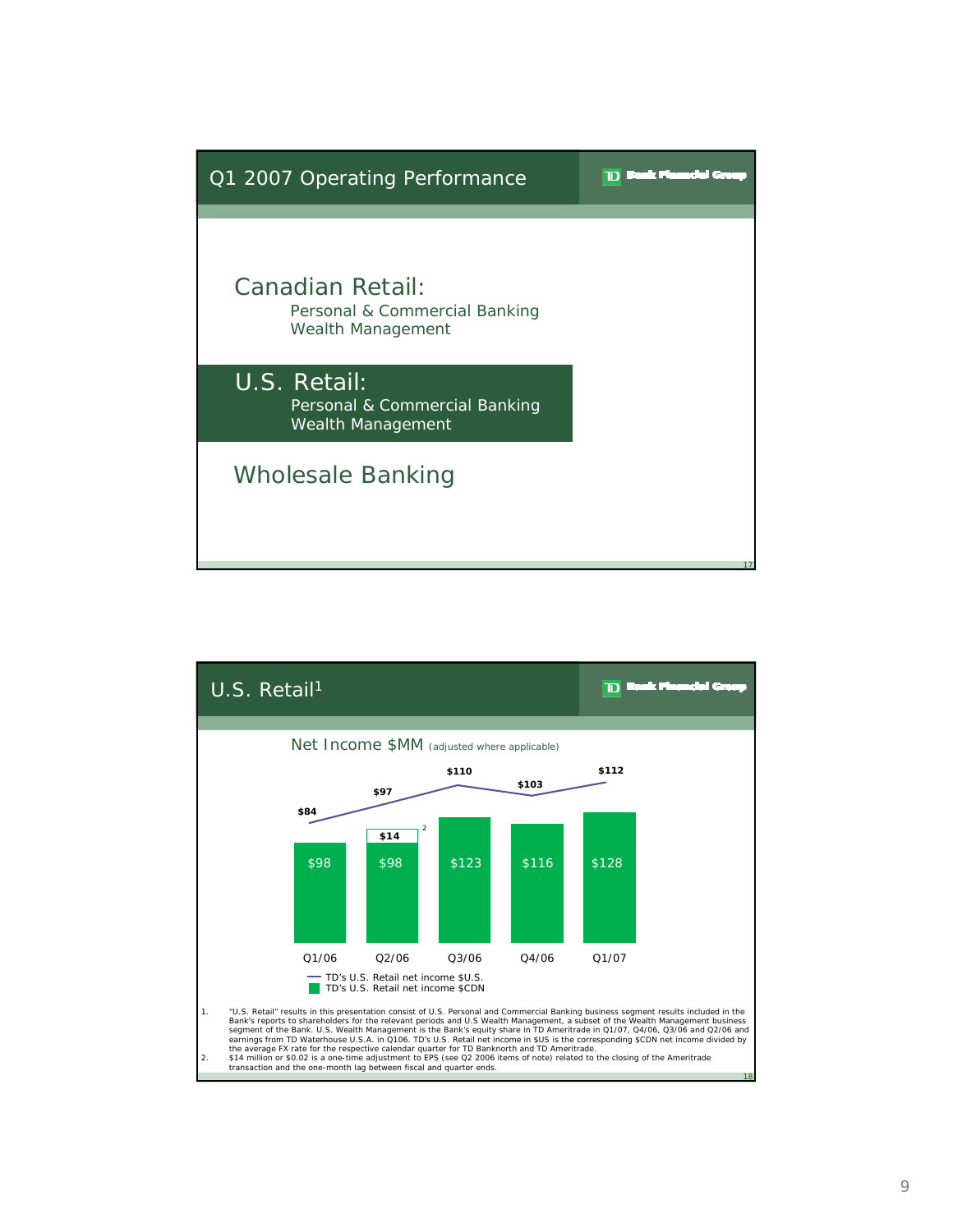

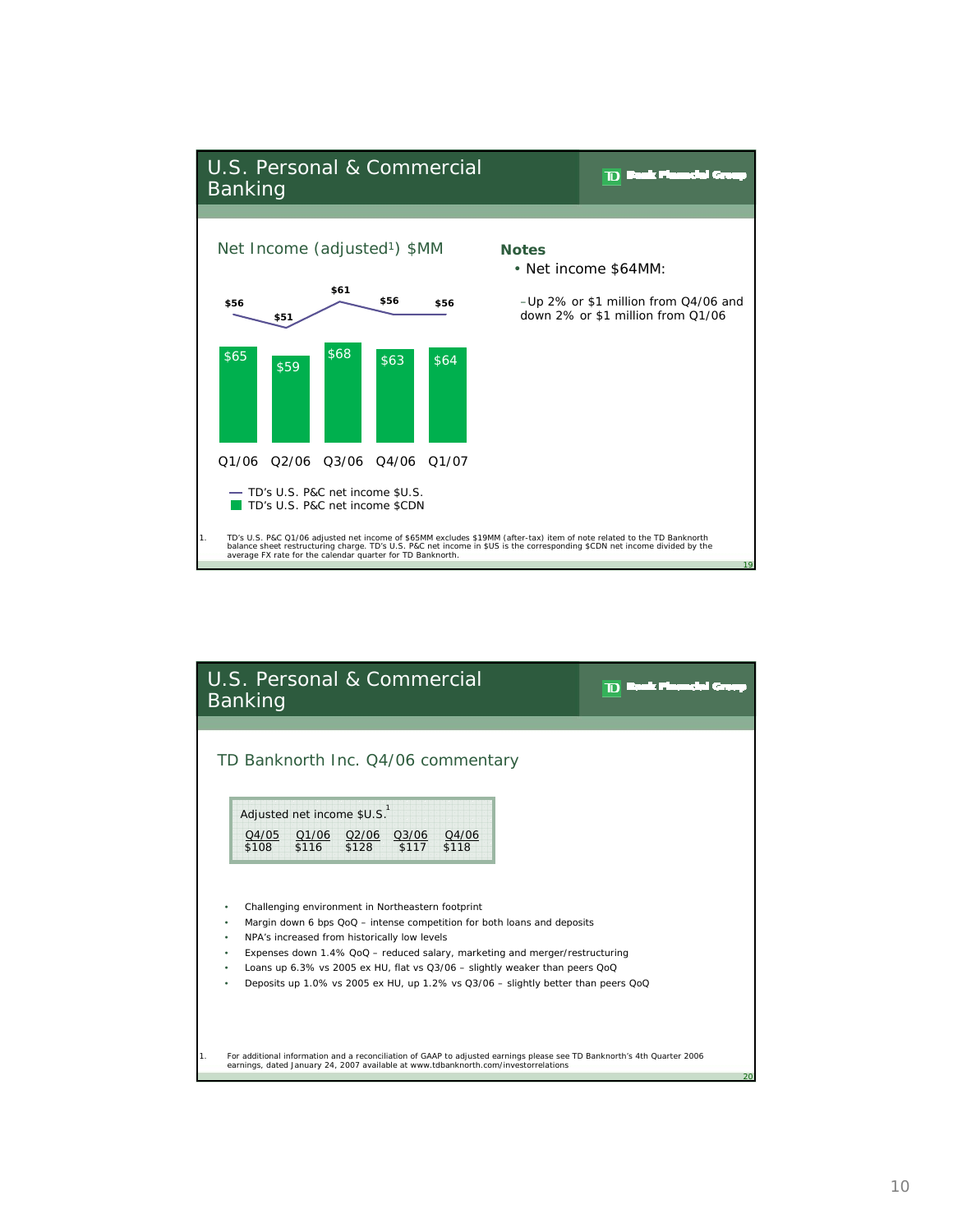

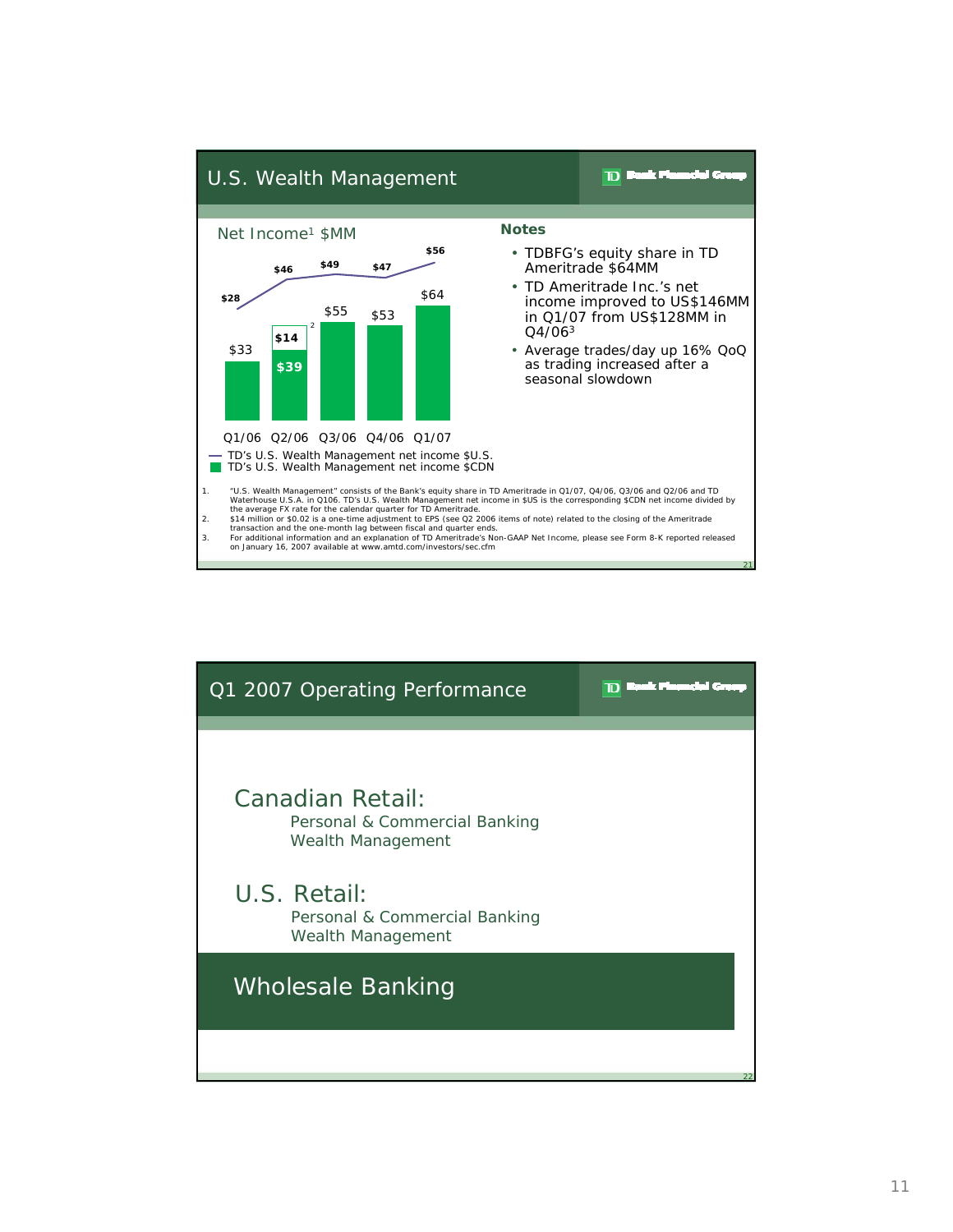

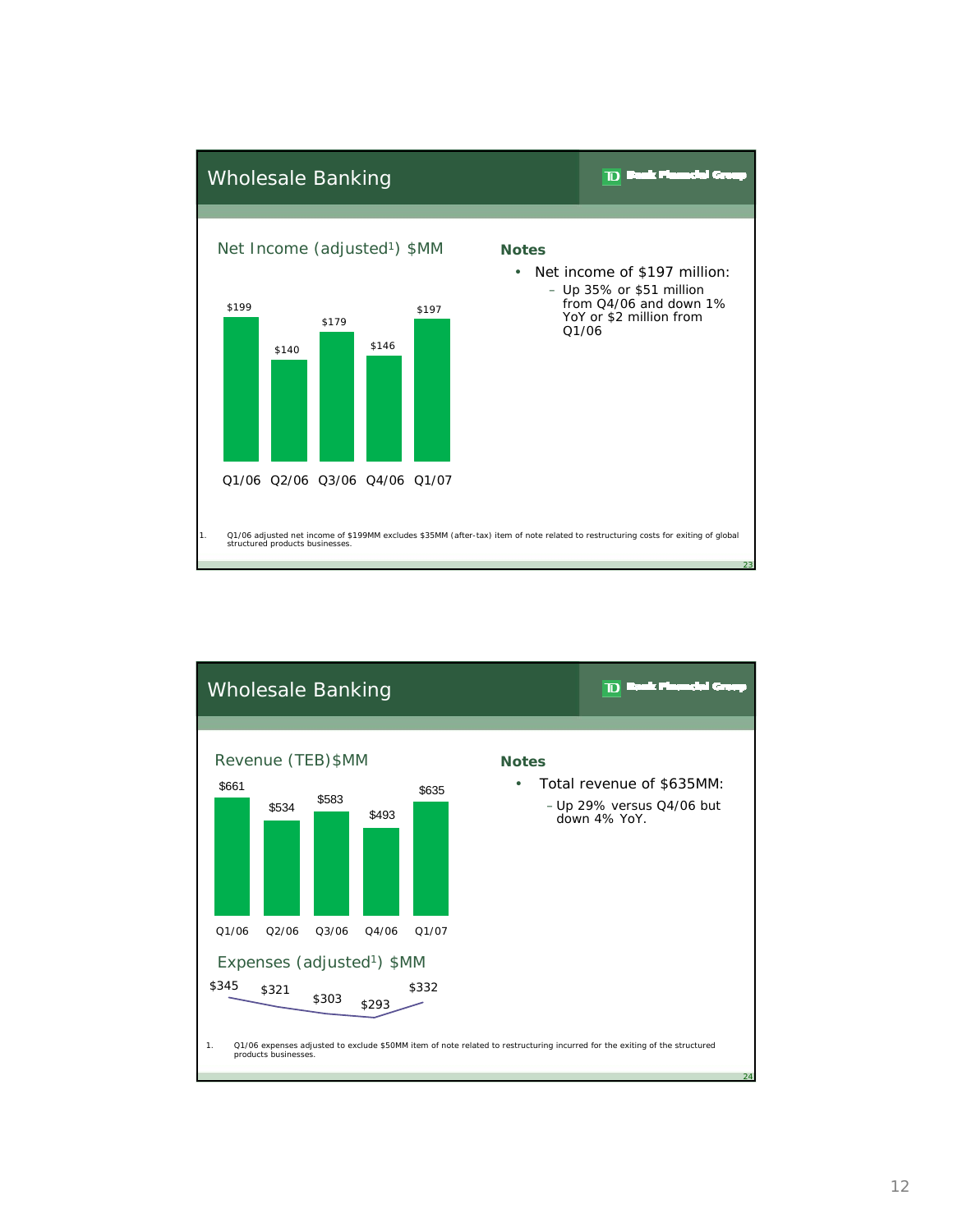

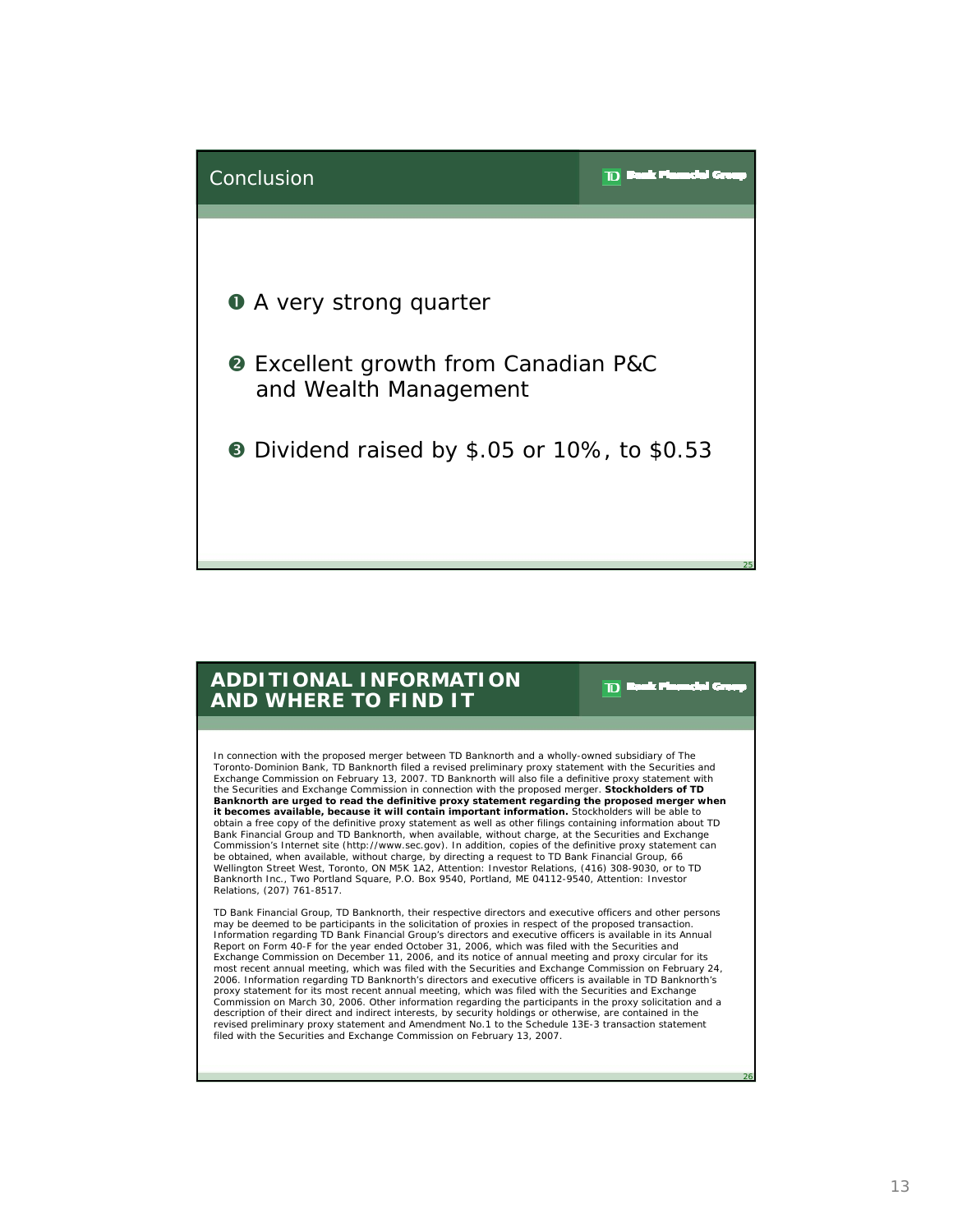

## **ADDITIONAL INFORMATION AND WHERE TO FIND IT**

In connection with the proposed merger between TD Banknorth and a wholly-owned subsidiary of The Toronto-Dominion Bank, TD Banknorth filed a revised preliminary proxy statement with the Securities and Exchange Commission on February 13, 2007. TD Banknorth will also file a definitive proxy statement with the Securities and Exchange Commission in connection with the proposed merger. **Stockholders of TD Banknorth are urged to read the definitive proxy statement regarding the proposed merger when it becomes available, because it will contain important information.** Stockholders will be able to obtain a free copy of the definitive proxy statement as well as other filings containing information about TD Bank Financial Group and TD Banknorth, when available, without charge, at the Securities and Exchange Commission's Internet site (http://www.sec.gov). In addition, copies of the definitive proxy statement can be obtained, when available, without charge, by directing a request to TD Bank Financial Group, 66 Wellington Street West, Toronto, ON M5K 1A2, Attention: Investor Relations, (416) 308-9030, or to TD Banknorth Inc., Two Portland Square, P.O. Box 9540, Portland, ME 04112-9540, Attention: Investor Relations, (207) 761-8517.

 $\mathbf{D}$ 

TD Bank Financial Group, TD Banknorth, their respective directors and executive officers and other persons may be deemed to be participants in the solicitation of proxies in respect of the proposed transaction. Information regarding TD Bank Financial Group's directors and executive officers is available in its Annual Report on Form 40-F for the year ended October 31, 2006, which was filed with the Securities and Exchange Commission on December 11, 2006, and its notice of annual meeting and proxy circular for its most recent annual meeting, which was filed with the Securities and Exchange Commission on February 24, 2006. Information regarding TD Banknorth's directors and executive officers is available in TD Banknorth's proxy statement for its most recent annual meeting, which was filed with the Securities and Exchange Commission on March 30, 2006. Other information regarding the participants in the proxy solicitation and a description of their direct and indirect interests, by security holdings or otherwise, are contained in the revised preliminary proxy statement and Amendment No.1 to the Schedule 13E-3 transaction statement filed with the Securities and Exchange Commission on February 13, 2007.

26